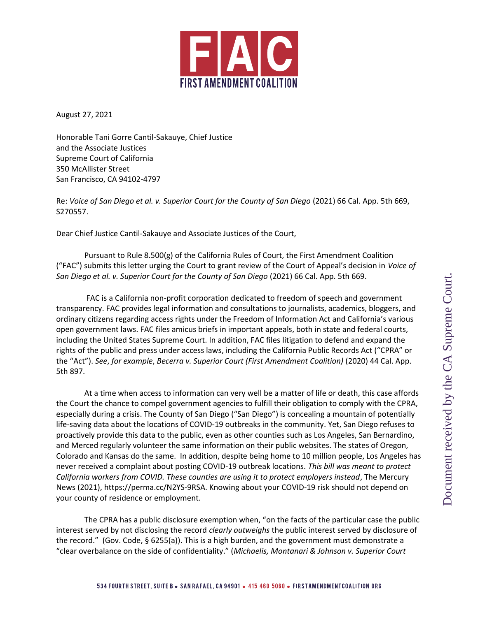

August 27, 2021

Honorable Tani Gorre Cantil-Sakauye, Chief Justice and the Associate Justices Supreme Court of California 350 McAllister Street San Francisco, CA 94102-4797

Re: Voice of San Diego et al. v. Superior Court for the County of San Diego (2021) 66 Cal. App. 5th 669, S270557.

Dear Chief Justice Cantil-Sakauye and Associate Justices of the Court,

Pursuant to Rule 8.500(g) of the California Rules of Court, the First Amendment Coalition ("FAC") submits this letter urging the Court to grant review of the Court of Appeal's decision in Voice of San Diego et al. v. Superior Court for the County of San Diego (2021) 66 Cal. App. 5th 669.

 FAC is a California non-profit corporation dedicated to freedom of speech and government transparency. FAC provides legal information and consultations to journalists, academics, bloggers, and ordinary citizens regarding access rights under the Freedom of Information Act and California's various open government laws. FAC files amicus briefs in important appeals, both in state and federal courts, including the United States Supreme Court. In addition, FAC files litigation to defend and expand the rights of the public and press under access laws, including the California Public Records Act ("CPRA" or the "Act"). See, for example, Becerra v. Superior Court (First Amendment Coalition) (2020) 44 Cal. App. 5th 897.

At a time when access to information can very well be a matter of life or death, this case affords the Court the chance to compel government agencies to fulfill their obligation to comply with the CPRA, especially during a crisis. The County of San Diego ("San Diego") is concealing a mountain of potentially life-saving data about the locations of COVID-19 outbreaks in the community. Yet, San Diego refuses to proactively provide this data to the public, even as other counties such as Los Angeles, San Bernardino, and Merced regularly volunteer the same information on their public websites. The states of Oregon, Colorado and Kansas do the same. In addition, despite being home to 10 million people, Los Angeles has never received a complaint about posting COVID-19 outbreak locations. This bill was meant to protect California workers from COVID. These counties are using it to protect employers instead, The Mercury News (2021), https://perma.cc/N2YS-9RSA. Knowing about your COVID-19 risk should not depend on your county of residence or employment.

The CPRA has a public disclosure exemption when, "on the facts of the particular case the public interest served by not disclosing the record *clearly outweighs* the public interest served by disclosure of the record." (Gov. Code, § 6255(a)). This is a high burden, and the government must demonstrate a "clear overbalance on the side of confidentiality." (Michaelis, Montanari & Johnson v. Superior Court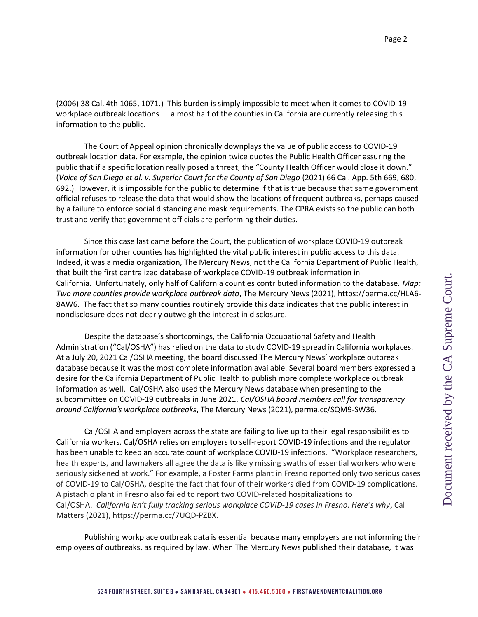Page 2

(2006) 38 Cal. 4th 1065, 1071.) This burden is simply impossible to meet when it comes to COVID-19 workplace outbreak locations — almost half of the counties in California are currently releasing this information to the public.

The Court of Appeal opinion chronically downplays the value of public access to COVID-19 outbreak location data. For example, the opinion twice quotes the Public Health Officer assuring the public that if a specific location really posed a threat, the "County Health Officer would close it down." (Voice of San Diego et al. v. Superior Court for the County of San Diego (2021) 66 Cal. App. 5th 669, 680, 692.) However, it is impossible for the public to determine if that is true because that same government official refuses to release the data that would show the locations of frequent outbreaks, perhaps caused by a failure to enforce social distancing and mask requirements. The CPRA exists so the public can both trust and verify that government officials are performing their duties.

Since this case last came before the Court, the publication of workplace COVID-19 outbreak information for other counties has highlighted the vital public interest in public access to this data. Indeed, it was a media organization, The Mercury News, not the California Department of Public Health, that built the first centralized database of workplace COVID-19 outbreak information in California. Unfortunately, only half of California counties contributed information to the database. Map: Two more counties provide workplace outbreak data, The Mercury News (2021), https://perma.cc/HLA6- 8AW6. The fact that so many counties routinely provide this data indicates that the public interest in nondisclosure does not clearly outweigh the interest in disclosure.

Despite the database's shortcomings, the California Occupational Safety and Health Administration ("Cal/OSHA") has relied on the data to study COVID-19 spread in California workplaces. At a July 20, 2021 Cal/OSHA meeting, the board discussed The Mercury News' workplace outbreak database because it was the most complete information available. Several board members expressed a desire for the California Department of Public Health to publish more complete workplace outbreak information as well. Cal/OSHA also used the Mercury News database when presenting to the subcommittee on COVID-19 outbreaks in June 2021. Cal/OSHA board members call for transparency around California's workplace outbreaks, The Mercury News (2021), perma.cc/SQM9-SW36.

Cal/OSHA and employers across the state are failing to live up to their legal responsibilities to California workers. Cal/OSHA relies on employers to self-report COVID-19 infections and the regulator has been unable to keep an accurate count of workplace COVID-19 infections. "Workplace researchers, health experts, and lawmakers all agree the data is likely missing swaths of essential workers who were seriously sickened at work." For example, a Foster Farms plant in Fresno reported only two serious cases of COVID-19 to Cal/OSHA, despite the fact that four of their workers died from COVID-19 complications. A pistachio plant in Fresno also failed to report two COVID-related hospitalizations to Cal/OSHA. California isn't fully tracking serious workplace COVID-19 cases in Fresno. Here's why, Cal Matters (2021), https://perma.cc/7UQD-PZBX.

Publishing workplace outbreak data is essential because many employers are not informing their employees of outbreaks, as required by law. When The Mercury News published their database, it was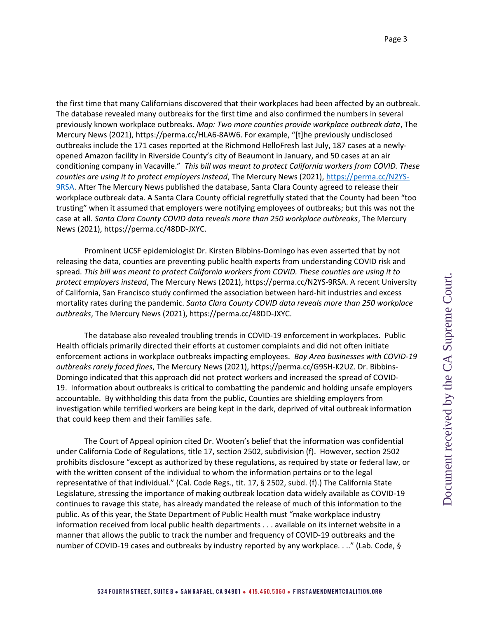the first time that many Californians discovered that their workplaces had been affected by an outbreak. The database revealed many outbreaks for the first time and also confirmed the numbers in several previously known workplace outbreaks. Map: Two more counties provide workplace outbreak data, The Mercury News (2021), https://perma.cc/HLA6-8AW6. For example, "[t]he previously undisclosed outbreaks include the 171 cases reported at the Richmond HelloFresh last July, 187 cases at a newlyopened Amazon facility in Riverside County's city of Beaumont in January, and 50 cases at an air conditioning company in Vacaville." This bill was meant to protect California workers from COVID. These counties are using it to protect employers instead, The Mercury News (2021), https://perma.cc/N2YS-9RSA. After The Mercury News published the database, Santa Clara County agreed to release their workplace outbreak data. A Santa Clara County official regretfully stated that the County had been "too trusting" when it assumed that employers were notifying employees of outbreaks; but this was not the case at all. Santa Clara County COVID data reveals more than 250 workplace outbreaks, The Mercury News (2021), https://perma.cc/48DD-JXYC.

Prominent UCSF epidemiologist Dr. Kirsten Bibbins-Domingo has even asserted that by not releasing the data, counties are preventing public health experts from understanding COVID risk and spread. This bill was meant to protect California workers from COVID. These counties are using it to protect employers instead, The Mercury News (2021), https://perma.cc/N2YS-9RSA. A recent University of California, San Francisco study confirmed the association between hard-hit industries and excess mortality rates during the pandemic. Santa Clara County COVID data reveals more than 250 workplace outbreaks, The Mercury News (2021), https://perma.cc/48DD-JXYC.

The database also revealed troubling trends in COVID-19 enforcement in workplaces. Public Health officials primarily directed their efforts at customer complaints and did not often initiate enforcement actions in workplace outbreaks impacting employees. Bay Area businesses with COVID-19 outbreaks rarely faced fines, The Mercury News (2021), https://perma.cc/G9SH-K2UZ. Dr. Bibbins-Domingo indicated that this approach did not protect workers and increased the spread of COVID-19. Information about outbreaks is critical to combatting the pandemic and holding unsafe employers accountable. By withholding this data from the public, Counties are shielding employers from investigation while terrified workers are being kept in the dark, deprived of vital outbreak information that could keep them and their families safe.

The Court of Appeal opinion cited Dr. Wooten's belief that the information was confidential under California Code of Regulations, title 17, section 2502, subdivision (f). However, section 2502 prohibits disclosure "except as authorized by these regulations, as required by state or federal law, or with the written consent of the individual to whom the information pertains or to the legal representative of that individual." (Cal. Code Regs., tit. 17, § 2502, subd. (f).) The California State Legislature, stressing the importance of making outbreak location data widely available as COVID-19 continues to ravage this state, has already mandated the release of much of this information to the public. As of this year, the State Department of Public Health must "make workplace industry information received from local public health departments . . . available on its internet website in a manner that allows the public to track the number and frequency of COVID-19 outbreaks and the number of COVID-19 cases and outbreaks by industry reported by any workplace. . .." (Lab. Code, §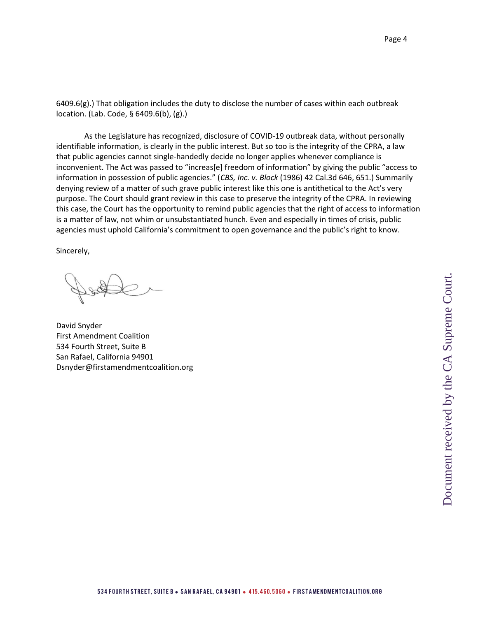$6409.6(g)$ .) That obligation includes the duty to disclose the number of cases within each outbreak location. (Lab. Code, § 6409.6(b), (g).)

As the Legislature has recognized, disclosure of COVID-19 outbreak data, without personally identifiable information, is clearly in the public interest. But so too is the integrity of the CPRA, a law that public agencies cannot single-handedly decide no longer applies whenever compliance is inconvenient. The Act was passed to "increas[e] freedom of information" by giving the public "access to information in possession of public agencies." (CBS, Inc. v. Block (1986) 42 Cal.3d 646, 651.) Summarily denying review of a matter of such grave public interest like this one is antithetical to the Act's very purpose. The Court should grant review in this case to preserve the integrity of the CPRA. In reviewing this case, the Court has the opportunity to remind public agencies that the right of access to information is a matter of law, not whim or unsubstantiated hunch. Even and especially in times of crisis, public agencies must uphold California's commitment to open governance and the public's right to know.

Sincerely,

David Snyder First Amendment Coalition 534 Fourth Street, Suite B San Rafael, California 94901 Dsnyder@firstamendmentcoalition.org